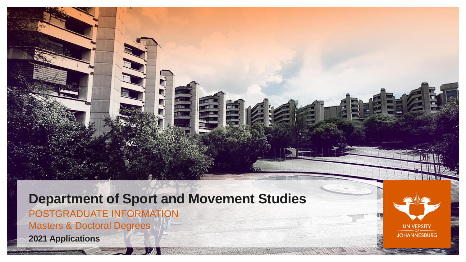**Department of Sport and Movement Studies** POSTGRADUATE INFORMATION Masters & Doctoral Degrees **2021 Applications**

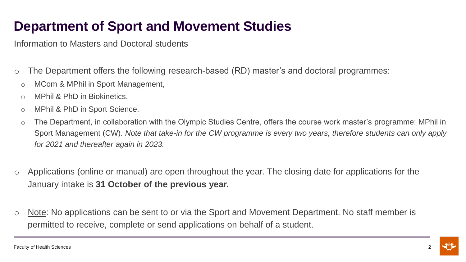Information to Masters and Doctoral students

- o The Department offers the following research-based (RD) master's and doctoral programmes:
	- o MCom & MPhil in Sport Management,
	- o MPhil & PhD in Biokinetics,
	- o MPhil & PhD in Sport Science.
	- o The Department, in collaboration with the Olympic Studies Centre, offers the course work master's programme: MPhil in Sport Management (CW). *Note that take-in for the CW programme is every two years, therefore students can only apply for 2021 and thereafter again in 2023.*
- o Applications (online or manual) are open throughout the year. The closing date for applications for the January intake is **31 October of the previous year.**
- o Note: No applications can be sent to or via the Sport and Movement Department. No staff member is permitted to receive, complete or send applications on behalf of a student.

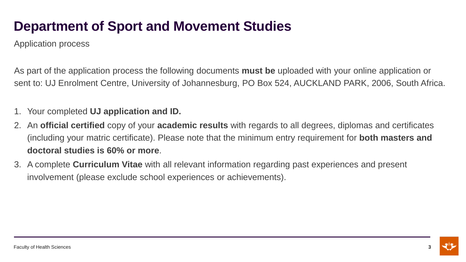Application process

As part of the application process the following documents **must be** uploaded with your online application or sent to: UJ Enrolment Centre, University of Johannesburg, PO Box 524, AUCKLAND PARK, 2006, South Africa.

### 1. Your completed **UJ application and ID.**

- 2. An **official certified** copy of your **academic results** with regards to all degrees, diplomas and certificates (including your matric certificate). Please note that the minimum entry requirement for **both masters and doctoral studies is 60% or more**.
- 3. A complete **Curriculum Vitae** with all relevant information regarding past experiences and present involvement (please exclude school experiences or achievements).

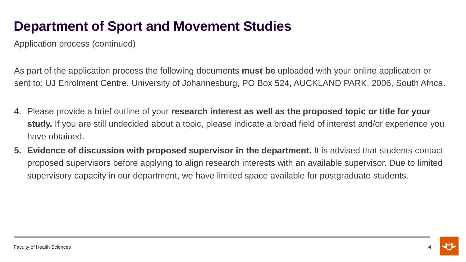Application process (continued)

As part of the application process the following documents **must be** uploaded with your online application or sent to: UJ Enrolment Centre, University of Johannesburg, PO Box 524, AUCKLAND PARK, 2006, South Africa.

- 4. Please provide a brief outline of your **research interest as well as the proposed topic or title for your study.** If you are still undecided about a topic, please indicate a broad field of interest and/or experience you have obtained.
- **5. Evidence of discussion with proposed supervisor in the department.** It is advised that students contact proposed supervisors before applying to align research interests with an available supervisor. Due to limited supervisory capacity in our department, we have limited space available for postgraduate students.

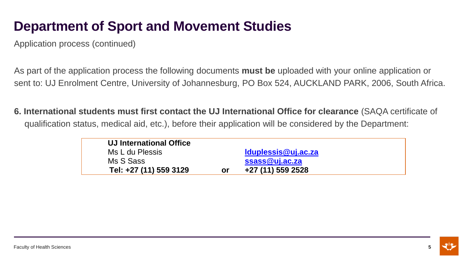Application process (continued)

As part of the application process the following documents **must be** uploaded with your online application or sent to: UJ Enrolment Centre, University of Johannesburg, PO Box 524, AUCKLAND PARK, 2006, South Africa.

**6. International students must first contact the UJ International Office for clearance** (SAQA certificate of qualification status, medical aid, etc.), before their application will be considered by the Department:

| <b>UJ International Office</b> |    |                     |  |
|--------------------------------|----|---------------------|--|
| Ms L du Plessis                |    | Iduplessis@uj.ac.za |  |
| Ms S Sass                      |    | ssass@uj.ac.za      |  |
| Tel: +27 (11) 559 3129         | or | +27 (11) 559 2528   |  |
|                                |    |                     |  |

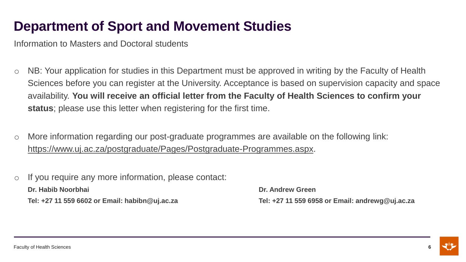Information to Masters and Doctoral students

- o NB: Your application for studies in this Department must be approved in writing by the Faculty of Health Sciences before you can register at the University. Acceptance is based on supervision capacity and space availability. **You will receive an official letter from the Faculty of Health Sciences to confirm your status**; please use this letter when registering for the first time.
- o More information regarding our post-graduate programmes are available on the following link: [https://www.uj.ac.za/postgraduate/Pages/Postgraduate-Programmes.aspx.](https://www.uj.ac.za/postgraduate/Pages/Postgraduate-Programmes.aspx)
- o If you require any more information, please contact: **Dr. Habib Noorbhai Dr. Andrew Green Tel: +27 11 559 6602 or Email: habibn@uj.ac.za Tel: +27 11 559 6958 or Email: andrewg@uj.ac.za**

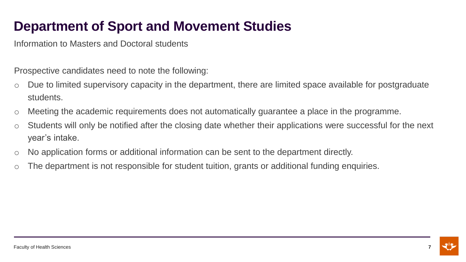Information to Masters and Doctoral students

Prospective candidates need to note the following:

- o Due to limited supervisory capacity in the department, there are limited space available for postgraduate students.
- o Meeting the academic requirements does not automatically guarantee a place in the programme.
- o Students will only be notified after the closing date whether their applications were successful for the next year's intake.
- o No application forms or additional information can be sent to the department directly.
- o The department is not responsible for student tuition, grants or additional funding enquiries.

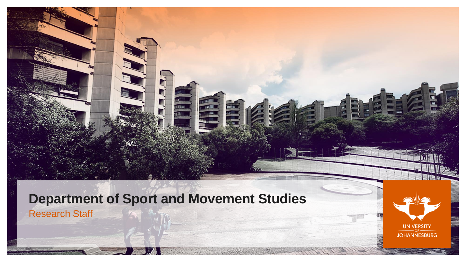**Department of Sport and Movement Studies** Research Staff

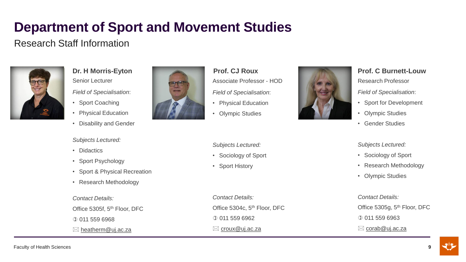## Research Staff Information



**Dr. H Morris-Eyton** Senior Lecturer *Field of Specialisation*:

- Sport Coaching
- Physical Education
- Disability and Gender

### *Subjects Lectured:*

- Didactics
- Sport Psychology
- Sport & Physical Recreation
- Research Methodology

### *Contact Details:*

Office 5305f, 5th Floor, DFC 0 011 559 6968

 $\boxtimes$  [heatherm@uj.ac.za](mailto:heatherm@uj.ac.za)



- **Prof. CJ Roux** Associate Professor - HOD
- *Field of Specialisation*:
- Physical Education
- Olympic Studies

### *Subjects Lectured:*

- Sociology of Sport
- Sport History

*Contact Details:*  Office 5304c, 5<sup>th</sup> Floor, DFC 011 559 6962  $\boxtimes$  [croux@uj.ac.za](mailto:croux@uj.ac.za)



### **Prof. C Burnett-Louw**

Research Professor

*Field of Specialisation*:

- **Sport for Development**
- **Olympic Studies**
- Gender Studies

### *Subjects Lectured:*

- Sociology of Sport
- Research Methodology
- Olympic Studies

### *Contact Details:*  Office 5305g, 5<sup>th</sup> Floor, DFC 011 559 6963  $\boxtimes$  [corab@uj.ac.za](mailto:corab@uj.ac.za)

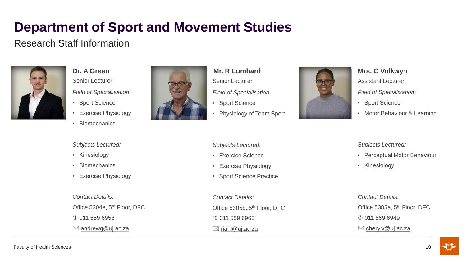## Research Staff Information



**Dr. A Green** Senior Lecturer *Field of Specialisation*:

- Sport Science
- Exercise Physiology
- Biomechanics

*Subjects Lectured:*

• Kinesiology

• Biomechanics

*Contact Details:* 

011 559 6958

 $\boxtimes$  [andrewg@uj.ac.za](mailto:andrewg@uj.ac.za)

• Exercise Physiology

Office 5304e, 5<sup>th</sup> Floor, DFC



- **Mr. R Lombard** Senior Lecturer *Field of Specialisation*:
- Sport Science
- Physiology of Team Sport

#### *Subjects Lectured:*

- Exercise Science
- Exercise Physiology
- Sport Science Practice

*Contact Details:*  Office 5305b, 5<sup>th</sup> Floor, DFC 011 559 6965  $\boxtimes$  [rianl@uj.ac.za](mailto:rianl@uj.ac.za)



**Mrs. C Volkwyn** Assistant Lecturer *Field of Specialisation*:

- **Sport Science**
- Motor Behaviour & Learning

#### *Subjects Lectured:*

- Perceptual Motor Behaviour
- Kinesiology

### *Contact Details:*  Office 5305a, 5<sup>th</sup> Floor, DFC 011 559 6949 ⊠ [cherylv@uj.ac.za](mailto:cherylv@uj.ac.za)

#### Faculty of Health Sciences

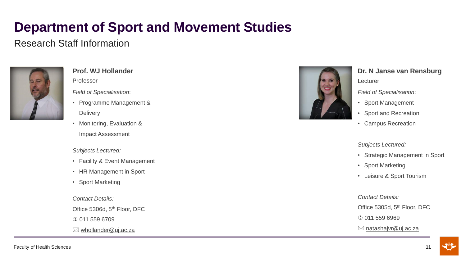## Research Staff Information



### **Prof. WJ Hollander** Professor

*Field of Specialisation*:

- Programme Management & **Delivery**
- Monitoring, Evaluation & Impact Assessment

#### *Subjects Lectured:*

- Facility & Event Management
- HR Management in Sport
- Sport Marketing

*Contact Details:* 

Office 5306d, 5<sup>th</sup> Floor, DFC

011 559 6709

 $\boxtimes$  [whollander@uj.ac.za](mailto:whollander@uj.ac.za)



## **Dr. N Janse van Rensburg**

Lecturer

*Field of Specialisation*:

- Sport Management
- Sport and Recreation
- Campus Recreation

#### *Subjects Lectured:*

- Strategic Management in Sport
- Sport Marketing
- Leisure & Sport Tourism

*Contact Details:* 

Office 5305d, 5<sup>th</sup> Floor, DFC

011 559 6969

⊠ [natashajvr@uj.ac.za](mailto:natashajvr@uj.ac.za)



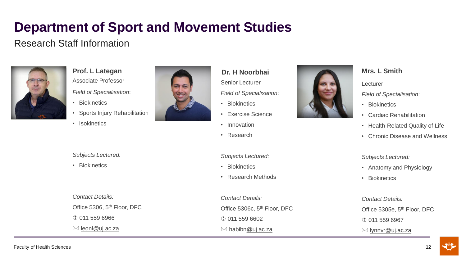## Research Staff Information



**Prof. L Lategan** Associate Professor *Field of Specialisation*:

- Biokinetics
- Sports Injury Rehabilitation
- Isokinetics



### **Dr. H Noorbhai**

Senior Lecturer

- *Field of Specialisation*:
- Biokinetics
- Exercise Science
- Innovation
- Research

#### *Subjects Lectured:*

- Biokinetics
- Research Methods

*Contact Details:*  Office 5306c, 5<sup>th</sup> Floor, DFC 0 011 559 6602  $\boxtimes$  habibn[@uj.ac.za](mailto:lynnvr@uj.ac.za)



### **Mrs. L Smith**

Lecturer

*Field of Specialisation*:

- Biokinetics
- Cardiac Rehabilitation
- Health-Related Quality of Life
- Chronic Disease and Wellness

#### *Subjects Lectured:*

- Anatomy and Physiology
- Biokinetics

### *Contact Details:*  Office 5305e, 5<sup>th</sup> Floor, DFC 011 559 6967  $\boxtimes$  [lynnvr@uj.ac.za](mailto:lynnvr@uj.ac.za)

*Subjects Lectured:*

• Biokinetics

*Contact Details:*  Office 5306, 5th Floor, DFC 011 559 6966 [leonl@uj.ac.za](mailto:leonl@uj.ac.za)

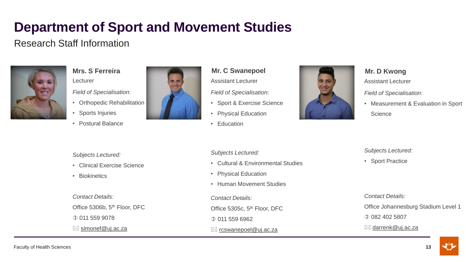## Research Staff Information



**Mrs. S Ferreira** Lecturer *Field of Specialisation*:

- Orthopedic Rehabilitation
- Sports Injuries
- Postural Balance



**Mr. C Swanepoel**

Assistant Lecturer

*Field of Specialisation*:

- Sport & Exercise Science
- Physical Education
- Education



**Mr. D Kwong**

Assistant Lecturer

*Field of Specialisation*:

• Measurement & Evaluation in Sport **Science** 

#### *Subjects Lectured:*

- Clinical Exercise Science
- Biokinetics

*Contact Details:*  Office 5306b, 5<sup>th</sup> Floor, DFC 011 559 9078

 $\boxtimes$  simonef @uj.ac.za

#### *Subjects Lectured:*

- Cultural & Environmental Studies
- Physical Education
- Human Movement Studies

*Contact Details:* 

Office 5305c, 5th Floor, DFC

011 559 6962

### $\boxtimes$  [rcswanepoel@uj.ac.za](mailto:rcswanepoel@uj.ac.za)

#### *Subjects Lectured:*

• Sport Practice

*Contact Details:* 

Office Johannesburg Stadium Level 1

082 402 5807

⊠ [darrenk@uj.ac.za](mailto:rcswanepoel@uj.ac.za)